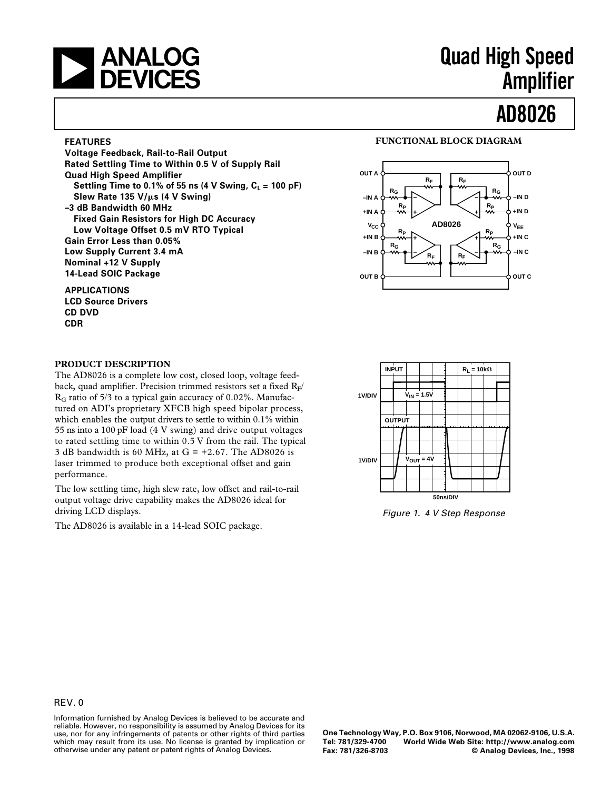# | ANALOG<br>| DEVICES

## **Quad High Speed Amplifier**

# **AD8026**

#### **FEATURES**

**Voltage Feedback, Rail-to-Rail Output Rated Settling Time to Within 0.5 V of Supply Rail Quad High Speed Amplifier** Settling Time to 0.1% of 55 ns (4 V Swing,  $C_L = 100$  pF) **Slew Rate 135 V/**m**s (4 V Swing) –3 dB Bandwidth 60 MHz Fixed Gain Resistors for High DC Accuracy Low Voltage Offset 0.5 mV RTO Typical Gain Error Less than 0.05% Low Supply Current 3.4 mA Nominal +12 V Supply 14-Lead SOIC Package**

#### **APPLICATIONS**

**LCD Source Drivers CD DVD CDR**

#### **FUNCTIONAL BLOCK DIAGRAM**



#### **PRODUCT DESCRIPTION**

The AD8026 is a complete low cost, closed loop, voltage feedback, quad amplifier. Precision trimmed resistors set a fixed  $R_F/$  $R<sub>G</sub>$  ratio of 5/3 to a typical gain accuracy of 0.02%. Manufactured on ADI's proprietary XFCB high speed bipolar process, which enables the output drivers to settle to within 0.1% within 55 ns into a 100 pF load (4 V swing) and drive output voltages to rated settling time to within 0.5 V from the rail. The typical 3 dB bandwidth is 60 MHz, at  $G = +2.67$ . The AD8026 is laser trimmed to produce both exceptional offset and gain performance.

The low settling time, high slew rate, low offset and rail-to-rail output voltage drive capability makes the AD8026 ideal for driving LCD displays.

The AD8026 is available in a 14-lead SOIC package.



Figure 1. 4 V Step Response

Information furnished by Analog Devices is believed to be accurate and reliable. However, no responsibility is assumed by Analog Devices for its use, nor for any infringements of patents or other rights of third parties which may result from its use. No license is granted by implication or otherwise under any patent or patent rights of Analog Devices.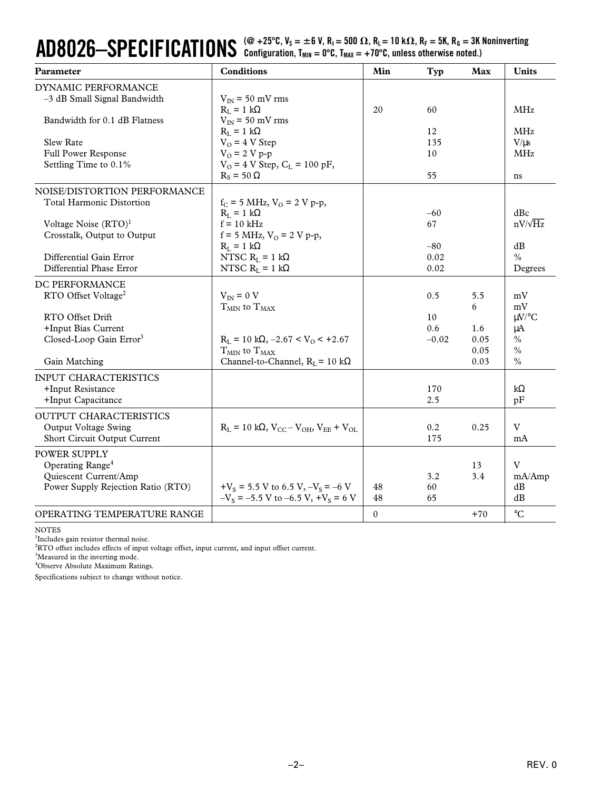#### $\bf{AD8026-}$  $\bf{SPECIFICATIONS}$  (@ +25 $^{\circ}$ C, V<sub>S</sub> =  $\pm$ 6 V, R<sub>I</sub> = 500  $\Omega$ , R<sub>L</sub> = 10 k $\Omega$ , R<sub>F</sub> = 5K, R<sub>G</sub> = 3K Noninverting<br> $\bf{C}$ Configuration, T<sub>MIN</sub> = 0°C, T<sub>MAX</sub> = +70°C, unless otherwise noted.)

| Parameter                                                  | <b>Conditions</b>                                            | Min          | Typ            | Max         | <b>Units</b>        |
|------------------------------------------------------------|--------------------------------------------------------------|--------------|----------------|-------------|---------------------|
| DYNAMIC PERFORMANCE                                        |                                                              |              |                |             |                     |
| -3 dB Small Signal Bandwidth                               | $V_{IN}$ = 50 mV rms                                         |              |                |             |                     |
|                                                            | $R_L = 1 k\Omega$                                            | 20           | 60             |             | <b>MHz</b>          |
| Bandwidth for 0.1 dB Flatness                              | $V_{IN}$ = 50 mV rms                                         |              |                |             |                     |
|                                                            | $R_{I} = 1 k\Omega$                                          |              | 12             |             | <b>MHz</b>          |
| <b>Slew Rate</b>                                           | $V_O = 4 V$ Step                                             |              | 135            |             | $V/\mu s$           |
| Full Power Response                                        | $V_0 = 2 V p - p$                                            |              | 10             |             | <b>MHz</b>          |
| Settling Time to 0.1%                                      | $V_{O} = 4 V$ Step, $C_{L} = 100 pF$ ,<br>$R_s = 50 \Omega$  |              | 55             |             |                     |
|                                                            |                                                              |              |                |             | ns                  |
| NOISE/DISTORTION PERFORMANCE                               |                                                              |              |                |             |                     |
| <b>Total Harmonic Distortion</b>                           | $f_C = 5 \text{ MHz}, V_O = 2 \text{ V p-p},$                |              |                |             |                     |
|                                                            | $R_{L} = 1 k\Omega$                                          |              | $-60$          |             | dBc                 |
| Voltage Noise $(RTO)^1$                                    | $f = 10$ kHz                                                 |              | 67             |             | $nV/\sqrt{Hz}$      |
| Crosstalk, Output to Output                                | f = 5 MHz, $V_0$ = 2 V p-p,                                  |              |                |             |                     |
| Differential Gain Error                                    | $R_L = 1 k\Omega$<br>NTSC $R_L = 1 k\Omega$                  |              | $-80$<br>0.02  |             | dB<br>$\frac{0}{0}$ |
| Differential Phase Error                                   | NTSC $R_L = 1 k\Omega$                                       |              | 0.02           |             | Degrees             |
|                                                            |                                                              |              |                |             |                     |
| DC PERFORMANCE                                             |                                                              |              |                |             |                     |
| RTO Offset Voltage <sup>2</sup>                            | $V_{IN} = 0 V$                                               |              | 0.5            | 5.5         | mV                  |
|                                                            | $T_{MIN}$ to $T_{MAX}$                                       |              |                | 6           | mV                  |
| RTO Offset Drift                                           |                                                              |              | 10             |             | $\mu$ V/°C          |
| +Input Bias Current<br>Closed-Loop Gain Error <sup>3</sup> | $R_L = 10 k\Omega$ , $-2.67 < V_O < +2.67$                   |              | 0.6<br>$-0.02$ | 1.6<br>0.05 | μA<br>$\frac{0}{0}$ |
|                                                            | $T_{\rm MIN}$ to $T_{\rm MAX}$                               |              |                | 0.05        | $\frac{0}{0}$       |
| Gain Matching                                              | Channel-to-Channel, $R_L$ = 10 k $\Omega$                    |              |                | 0.03        | $\frac{0}{0}$       |
|                                                            |                                                              |              |                |             |                     |
| <b>INPUT CHARACTERISTICS</b>                               |                                                              |              |                |             |                     |
| +Input Resistance                                          |                                                              |              | 170            |             | $k\Omega$           |
| +Input Capacitance                                         |                                                              |              | 2.5            |             | pF                  |
| OUTPUT CHARACTERISTICS                                     |                                                              |              |                |             |                     |
| Output Voltage Swing                                       | $R_{L} = 10 k\Omega$ , $V_{CC} - V_{OH}$ , $V_{EF} + V_{OL}$ |              | 0.2            | 0.25        | V                   |
| Short Circuit Output Current                               |                                                              |              | 175            |             | mA                  |
| <b>POWER SUPPLY</b>                                        |                                                              |              |                |             |                     |
| Operating Range <sup>4</sup>                               |                                                              |              |                | 13          | V                   |
| Quiescent Current/Amp                                      |                                                              |              | 3.2            | 3.4         | mA/Amp              |
| Power Supply Rejection Ratio (RTO)                         | $+V_s = 5.5$ V to 6.5 V, $-V_s = -6$ V                       | 48           | 60             |             | dB                  |
|                                                            | $-V_s = -5.5$ V to $-6.5$ V, $+V_s = 6$ V                    | 48           | 65             |             | dB                  |
| OPERATING TEMPERATURE RANGE                                |                                                              | $\mathbf{0}$ |                | $+70$       | $\rm ^{\circ}C$     |

NOTES

1 Includes gain resistor thermal noise.

 ${}^{2}$ RTO offset includes effects of input voltage offset, input current, and input offset current.

<sup>3</sup>Measured in the inverting mode.

4 Observe Absolute Maximum Ratings.

Specifications subject to change without notice.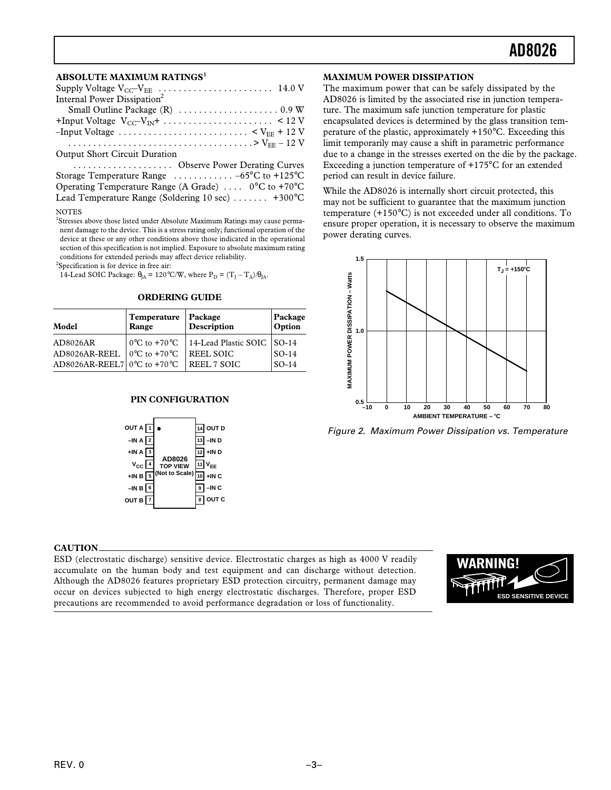#### **ABSOLUTE MAXIMUM RATINGS<sup>1</sup>**

| Internal Power Dissipation <sup>2</sup>                                                                  |
|----------------------------------------------------------------------------------------------------------|
|                                                                                                          |
|                                                                                                          |
|                                                                                                          |
|                                                                                                          |
| <b>Output Short Circuit Duration</b>                                                                     |
| Observe Power Derating Curves                                                                            |
| Storage Temperature Range  -65°C to +125°C                                                               |
| Operating Temperature Range (A Grade) $\ldots$ 0°C to +70°C                                              |
| Lead Temperature Range (Soldering 10 sec)  +300°C                                                        |
| <b>NOTES</b><br><sup>1</sup> Stresses above those listed under Absolute Maximum Ratings may cause perma- |

nent damage to the device. This is a stress rating only; functional operation of the device at these or any other conditions above those indicated in the operational section of this specification is not implied. Exposure to absolute maximum rating conditions for extended periods may affect device reliability.

<sup>2</sup>Specification is for device in free air:

14-Lead SOIC Package:  $\theta_{JA} = 120^{\circ}$ C/W, where  $P_D = (T_J - T_A)/\theta_{JA}$ .

#### **ORDERING GUIDE**

| Model                                             | Temperature<br>Range | $\vert$ Package<br>Description                                        | Package<br>Option |
|---------------------------------------------------|----------------------|-----------------------------------------------------------------------|-------------------|
| AD8026AR                                          |                      | $\int 0^{\circ}$ C to +70 $^{\circ}$ C   14-Lead Plastic SOIC   SO-14 |                   |
| AD8026AR-REEL   $0^{\circ}$ C to +70 $^{\circ}$ C |                      | <b>REEL SOIC</b>                                                      | $ SO-14 $         |
| AD8026AR-REEL7 $0^{\circ}$ C to +70 $^{\circ}$ C  |                      | <b>REEL 7 SOIC</b>                                                    | $ SO-14 $         |

#### **PIN CONFIGURATION**



#### **MAXIMUM POWER DISSIPATION**

The maximum power that can be safely dissipated by the AD8026 is limited by the associated rise in junction temperature. The maximum safe junction temperature for plastic encapsulated devices is determined by the glass transition temperature of the plastic, approximately +150°C. Exceeding this limit temporarily may cause a shift in parametric performance due to a change in the stresses exerted on the die by the package. Exceeding a junction temperature of +175°C for an extended period can result in device failure.

While the AD8026 is internally short circuit protected, this may not be sufficient to guarantee that the maximum junction temperature (+150°C) is not exceeded under all conditions. To ensure proper operation, it is necessary to observe the maximum power derating curves.



Figure 2. Maximum Power Dissipation vs. Temperature

#### **CAUTION**

ESD (electrostatic discharge) sensitive device. Electrostatic charges as high as 4000 V readily accumulate on the human body and test equipment and can discharge without detection. Although the AD8026 features proprietary ESD protection circuitry, permanent damage may occur on devices subjected to high energy electrostatic discharges. Therefore, proper ESD precautions are recommended to avoid performance degradation or loss of functionality.

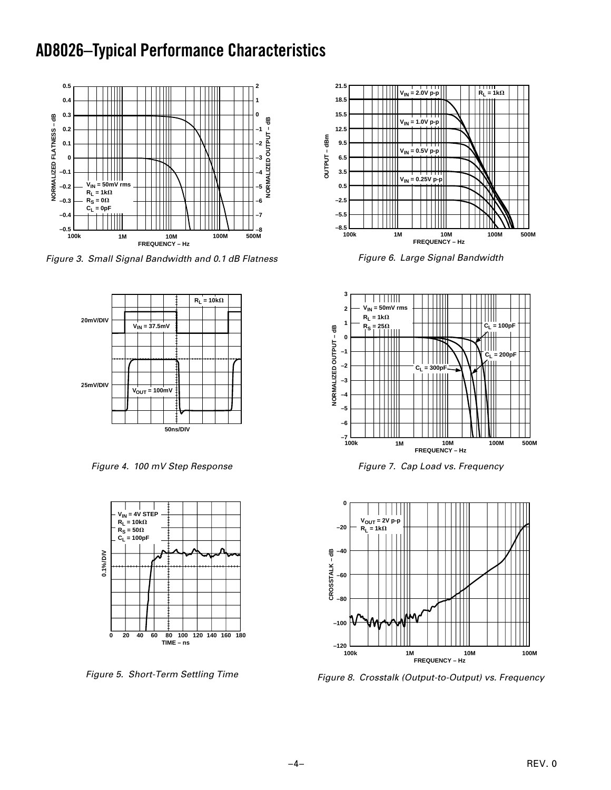## **AD8026–Typical Performance Characteristics**



Figure 3. Small Signal Bandwidth and 0.1 dB Flatness



Figure 4. 100 mV Step Response



Figure 5. Short-Term Settling Time



Figure 6. Large Signal Bandwidth



Figure 7. Cap Load vs. Frequency



Figure 8. Crosstalk (Output-to-Output) vs. Frequency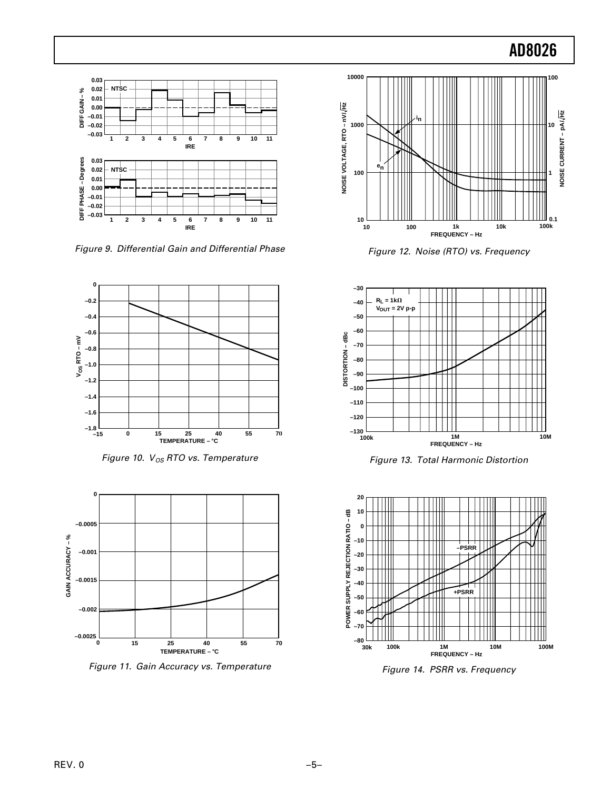

Figure 9. Differential Gain and Differential Phase



Figure 10.  $V_{OS}$  RTO vs. Temperature



Figure 11. Gain Accuracy vs. Temperature



Figure 12. Noise (RTO) vs. Frequency



Figure 13. Total Harmonic Distortion



Figure 14. PSRR vs. Frequency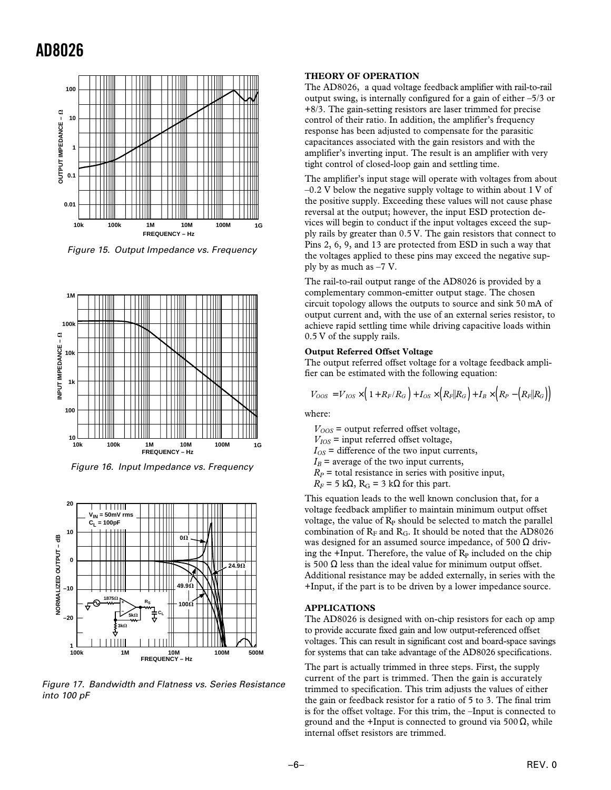

Figure 15. Output Impedance vs. Frequency



Figure 16. Input Impedance vs. Frequency



Figure 17. Bandwidth and Flatness vs. Series Resistance into 100 pF

#### **THEORY OF OPERATION**

The AD8026, a quad voltage feedback amplifier with rail-to-rail output swing, is internally configured for a gain of either –5/3 or +8/3. The gain-setting resistors are laser trimmed for precise control of their ratio. In addition, the amplifier's frequency response has been adjusted to compensate for the parasitic capacitances associated with the gain resistors and with the amplifier's inverting input. The result is an amplifier with very tight control of closed-loop gain and settling time.

The amplifier's input stage will operate with voltages from about  $-0.2$  V below the negative supply voltage to within about 1 V of the positive supply. Exceeding these values will not cause phase reversal at the output; however, the input ESD protection devices will begin to conduct if the input voltages exceed the supply rails by greater than 0.5 V. The gain resistors that connect to Pins 2, 6, 9, and 13 are protected from ESD in such a way that the voltages applied to these pins may exceed the negative supply by as much as –7 V.

The rail-to-rail output range of the AD8026 is provided by a complementary common-emitter output stage. The chosen circuit topology allows the outputs to source and sink 50 mA of output current and, with the use of an external series resistor, to achieve rapid settling time while driving capacitive loads within 0.5 V of the supply rails.

#### **Output Referred Offset Voltage**

The output referred offset voltage for a voltage feedback amplifier can be estimated with the following equation:

$$
V_{OOS} = V_{IOS} \times \left(1 + R_F/R_G\right) + I_{OS} \times \left(R_F || R_G\right) + I_B \times \left(R_P - \left(R_F || R_G\right)\right)
$$

where:

 $V_{OOS}$  = output referred offset voltage,

 $V_{IOS}$  = input referred offset voltage,

 $I_{OS}$  = difference of the two input currents,

 $I_B$  = average of the two input currents,

 $R_P$  = total resistance in series with positive input,

 $R_F$  = 5 k $\Omega$ ,  $R_G$  = 3 k $\Omega$  for this part.

This equation leads to the well known conclusion that, for a voltage feedback amplifier to maintain minimum output offset voltage, the value of  $R<sub>P</sub>$  should be selected to match the parallel combination of  $R_F$  and  $R_G$ . It should be noted that the AD8026 was designed for an assumed source impedance, of 500  $\Omega$  driving the +Input. Therefore, the value of  $R<sub>P</sub>$  included on the chip is 500  $\Omega$  less than the ideal value for minimum output offset. Additional resistance may be added externally, in series with the +Input, if the part is to be driven by a lower impedance source.

#### **APPLICATIONS**

The AD8026 is designed with on-chip resistors for each op amp to provide accurate fixed gain and low output-referenced offset voltages. This can result in significant cost and board-space savings for systems that can take advantage of the AD8026 specifications.

The part is actually trimmed in three steps. First, the supply current of the part is trimmed. Then the gain is accurately trimmed to specification. This trim adjusts the values of either the gain or feedback resistor for a ratio of 5 to 3. The final trim is for the offset voltage. For this trim, the –Input is connected to ground and the +Input is connected to ground via 500  $\Omega$ , while internal offset resistors are trimmed.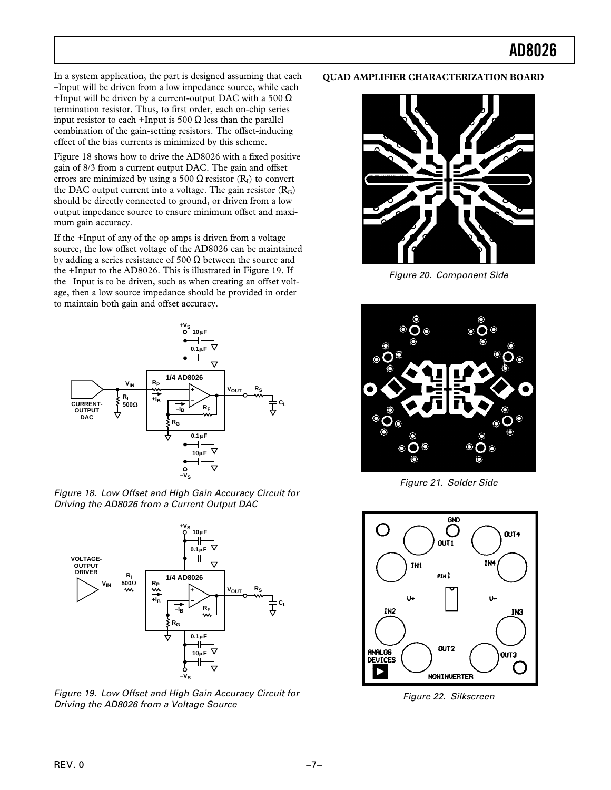In a system application, the part is designed assuming that each –Input will be driven from a low impedance source, while each +Input will be driven by a current-output DAC with a 500  $\Omega$ termination resistor. Thus, to first order, each on-chip series input resistor to each +Input is 500  $\Omega$  less than the parallel combination of the gain-setting resistors. The offset-inducing effect of the bias currents is minimized by this scheme.

Figure 18 shows how to drive the AD8026 with a fixed positive gain of 8/3 from a current output DAC. The gain and offset errors are minimized by using a 500  $\Omega$  resistor (R<sub>I</sub>) to convert the DAC output current into a voltage. The gain resistor  $(R_G)$ should be directly connected to ground, or driven from a low output impedance source to ensure minimum offset and maximum gain accuracy.

If the +Input of any of the op amps is driven from a voltage source, the low offset voltage of the AD8026 can be maintained by adding a series resistance of 500  $\Omega$  between the source and the +Input to the AD8026. This is illustrated in Figure 19. If the –Input is to be driven, such as when creating an offset voltage, then a low source impedance should be provided in order to maintain both gain and offset accuracy.



Figure 18. Low Offset and High Gain Accuracy Circuit for Driving the AD8026 from a Current Output DAC



Figure 19. Low Offset and High Gain Accuracy Circuit for Driving the AD8026 from a Voltage Source

#### **QUAD AMPLIFIER CHARACTERIZATION BOARD**



Figure 20. Component Side



Figure 21. Solder Side



Figure 22. Silkscreen